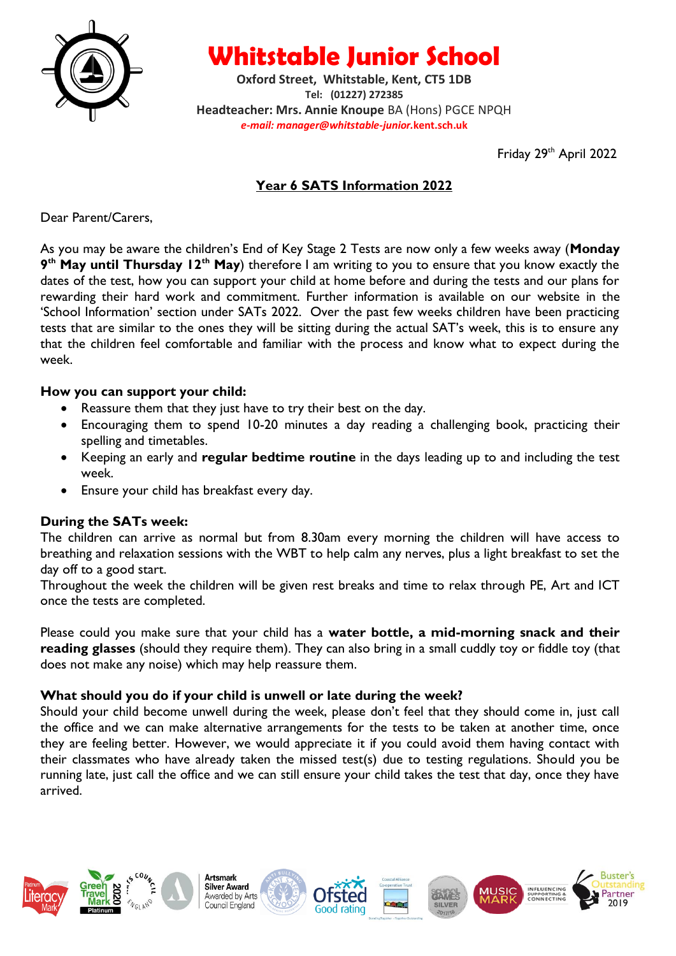

**Whitstable Junior School**

**Oxford Street, Whitstable, Kent, CT5 1DB Tel: (01227) 272385 Headteacher: Mrs. Annie Knoupe** BA (Hons) PGCE NPQH *e-mail: manager@whitstable-junior.***kent.sch.uk**

Friday 29<sup>th</sup> April 2022

# **Year 6 SATS Information 2022**

Dear Parent/Carers,

As you may be aware the children's End of Key Stage 2 Tests are now only a few weeks away (**Monday 9 th May until Thursday 12th May**) therefore I am writing to you to ensure that you know exactly the dates of the test, how you can support your child at home before and during the tests and our plans for rewarding their hard work and commitment. Further information is available on our website in the 'School Information' section under SATs 2022. Over the past few weeks children have been practicing tests that are similar to the ones they will be sitting during the actual SAT's week, this is to ensure any that the children feel comfortable and familiar with the process and know what to expect during the week.

#### **How you can support your child:**

- Reassure them that they just have to try their best on the day.
- Encouraging them to spend 10-20 minutes a day reading a challenging book, practicing their spelling and timetables.
- Keeping an early and **regular bedtime routine** in the days leading up to and including the test week.
- Ensure your child has breakfast every day.

### **During the SATs week:**

The children can arrive as normal but from 8.30am every morning the children will have access to breathing and relaxation sessions with the WBT to help calm any nerves, plus a light breakfast to set the day off to a good start.

Throughout the week the children will be given rest breaks and time to relax through PE, Art and ICT once the tests are completed.

Please could you make sure that your child has a **water bottle, a mid-morning snack and their reading glasses** (should they require them). They can also bring in a small cuddly toy or fiddle toy (that does not make any noise) which may help reassure them.

#### **What should you do if your child is unwell or late during the week?**

Should your child become unwell during the week, please don't feel that they should come in, just call the office and we can make alternative arrangements for the tests to be taken at another time, once they are feeling better. However, we would appreciate it if you could avoid them having contact with their classmates who have already taken the missed test(s) due to testing regulations. Should you be running late, just call the office and we can still ensure your child takes the test that day, once they have arrived.